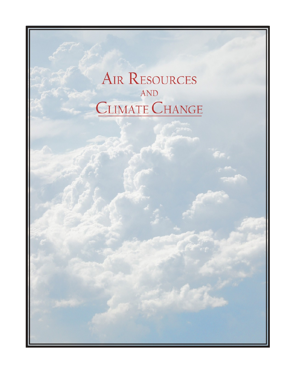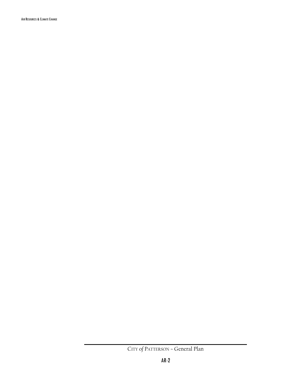AIR RESOURCES & CLIMATE CHANGE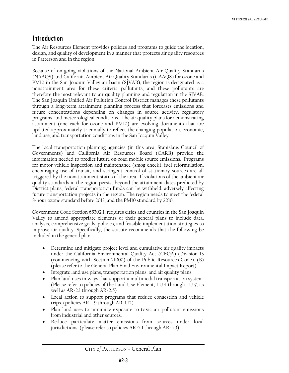# Introduction

The Air Resources Element provides policies and programs to guide the location, design, and quality of development in a manner that protects air quality resources in Patterson and in the region.

Because of on-going violations of the National Ambient Air Quality Standards (NAAQS) and California Ambient Air Quality Standards (CAAQS) for ozone and PM10 in the San Joaquin Valley air basin (SJVAB), the region is designated as a nonattainment area for these criteria pollutants, and these pollutants are therefore the most relevant to air quality planning and regulation in the SJVAB. The San Joaquin Unified Air Pollution Control District manages these pollutants through a long-term attainment planning process that forecasts emissions and future concentrations depending on changes in source activity, regulatory programs, and meteorological conditions. The air quality plans for demonstrating attainment (one each for ozone and PM10) are evolving documents that are updated approximately triennially to reflect the changing population, economic, land use, and transportation conditions in the San Joaquin Valley.

The local transportation planning agencies (in this area, Stanislaus Council of Governments) and California Air Resources Board (CARB) provide the information needed to predict future on-road mobile source emissions. Programs for motor vehicle inspection and maintenance (smog check), fuel reformulation, encouraging use of transit, and stringent control of stationary sources are all triggered by the nonattainment status of the area. If violations of the ambient air quality standards in the region persist beyond the attainment dates predicted by District plans, federal transportation funds can be withheld, adversely affecting future transportation projects in the region. The region needs to meet the federal 8-hour ozone standard before 2013, and the PM10 standard by 2010.

Government Code Section 65302.1, requires cities and counties in the San Joaquin Valley to amend appropriate elements of their general plans to include data, analysis, comprehensive goals, policies, and feasible implementation strategies to improve air quality. Specifically, the statute recommends that the following be included in the general plan:

- Determine and mitigate project level and cumulative air quality impacts under the California Environmental Quality Act (CEQA) (Division 13 (commencing with Section 21000) of the Public Resources Code). (B) (please refer to the General Plan Final Environmental Impact Report)
- Integrate land use plans, transportation plans, and air quality plans.
- Plan land uses in ways that support a multimodal transportation system. (Please refer to policies of the Land Use Element, LU-1 through LU-7, as well as AR-2.1 through AR-2.5)
- Local action to support programs that reduce congestion and vehicle trips. (policies AR-1.9 through AR-1.12)
- Plan land uses to minimize exposure to toxic air pollutant emissions from industrial and other sources.
- Reduce particulate matter emissions from sources under local jurisdictions. (please refer to policies AR-5.1 through AR-5.3)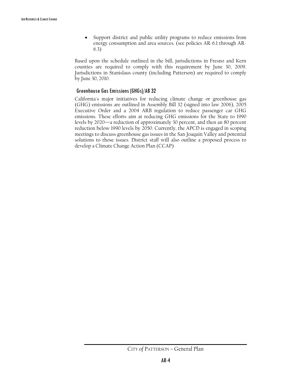• Support district and public utility programs to reduce emissions from energy consumption and area sources. (see policies AR-6.1 through AR-6.3)

Based upon the schedule outlined in the bill, jurisdictions in Fresno and Kern counties are required to comply with this requirement by June 30, 2009. Jurisdictions in Stanislaus county (including Patterson) are required to comply by June 30, 2010.

#### Greenhouse Gas Emissions (GHGs)/AB 32

California's major initiatives for reducing climate change or greenhouse gas (GHG) emissions are outlined in Assembly Bill 32 (signed into law 2006), 2005 Executive Order and a 2004 ARB regulation to reduce passenger car GHG emissions. These efforts aim at reducing GHG emissions for the State to 1990 levels by 2020—a reduction of approximately 30 percent, and then an 80 percent reduction below 1990 levels by 2050. Currently, the APCD is engaged in scoping meetings to discuss greenhouse gas issues in the San Joaquin Valley and potential solutions to those issues. District staff will also outline a proposed process to develop a Climate Change Action Plan (CCAP)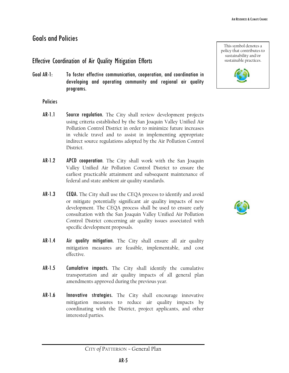# Goals and Policies

## Effective Coordination of Air Quality Mitigation Efforts

Goal AR-1: To foster effective communication, cooperation, and coordination in developing and operating community and regional air quality programs.

#### Policies

- AR-1.1 Source regulation. The City shall review development projects using criteria established by the San Joaquin Valley Unified Air Pollution Control District in order to minimize future increases in vehicle travel and to assist in implementing appropriate indirect source regulations adopted by the Air Pollution Control District.
- AR-1.2 APCD cooperation. The City shall work with the San Joaquin Valley Unified Air Pollution Control District to ensure the earliest practicable attainment and subsequent maintenance of federal and state ambient air quality standards.
- AR-1.3 CEQA. The City shall use the CEQA process to identify and avoid or mitigate potentially significant air quality impacts of new development. The CEQA process shall be used to ensure early consultation with the San Joaquin Valley Unified Air Pollution Control District concerning air quality issues associated with specific development proposals.
- AR-1.4 Air quality mitigation. The City shall ensure all air quality mitigation measures are feasible, implementable, and cost effective.
- AR-1.5 Cumulative impacts. The City shall identify the cumulative transportation and air quality impacts of all general plan amendments approved during the previous year.
- AR-1.6 Innovative strategies. The City shall encourage innovative mitigation measures to reduce air quality impacts by coordinating with the District, project applicants, and other interested parties.



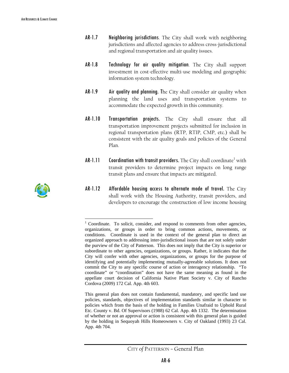- AR-1.7 Neighboring jurisdictions. The City shall work with neighboring jurisdictions and affected agencies to address cross-jurisdictional and regional transportation and air quality issues.
- AR-1.8 Technology for air quality mitigation. The City shall support investment in cost-effective multi-use modeling and geographic information system technology.
- AR-1.9 Air quality and planning. The City shall consider air quality when planning the land uses and transportation systems to accommodate the expected growth in this community.
- AR-1.10 Transportation projects. The City shall ensure that all transportation improvement projects submitted for inclusion in regional transportation plans (RTP, RTIP, CMP, etc.) shall be consistent with the air quality goals and policies of the General Plan.
- AR-[1](#page-5-0).11 Coordination with transit providers. The City shall coordinate<sup>1</sup> with transit providers to determine project impacts on long range transit plans and ensure that impacts are mitigated.
- AR-1.12 Affordable housing access to alternate mode of travel. The City shall work with the Housing Authority, transit providers, and developers to encourage the construction of low income housing

<span id="page-5-0"></span>

l

<sup>&</sup>lt;sup>1</sup> Coordinate. To solicit, consider, and respond to comments from other agencies, organizations, or groups in order to bring common actions, movements, or conditions. Coordinate is used in the context of the general plan to direct an organized approach to addressing inter-jurisdictional issues that are not solely under the purview of the City of Patterson. This does not imply that the City is superior or subordinate to other agencies, organizations, or groups. Rather, it indicates that the City will confer with other agencies, organizations, or groups for the purpose of identifying and potentially implementing mutually-agreeable solutions. It does not commit the City to any specific course of action or interagency relationship. "To coordinate" or "coordination" does not have the same meaning as found in the appellate court decision of California Native Plant Society v. City of Rancho Cordova (2009) 172 Cal. App. 4th 603.

This general plan does not contain fundamental, mandatory, and specific land use policies, standards, objectives of implementation standards similar in character to policies which from the basis of the holding in Families Unafraid to Uphold Rural Etc. County v. Bd. Of Supervisors (1988) 62 Cal. App. 4th 1332. The determination of whether or not an approval or action is consistent with this general plan is guided by the holding in Sequoyah Hills Homeowners v. City of Oakland (1993) 23 Cal. App. 4th 704.

CITY o*f* PATTERSON ~ General Plan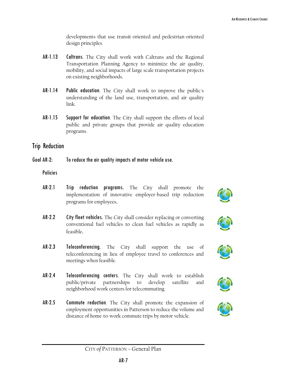developments that use transit-oriented and pedestrian-oriented design principles.

- AR-1.13 Caltrans. The City shall work with Caltrans and the Regional Transportation Planning Agency to minimize the air quality, mobility, and social impacts of large scale transportation projects on existing neighborhoods.
- AR-1.14 Public education. The City shall work to improve the public's understanding of the land use, transportation, and air quality link.
- AR-1.15 Support for education. The City shall support the efforts of local public and private groups that provide air quality education programs.

## Trip Reduction

Goal AR-2: To reduce the air quality impacts of motor vehicle use.

## **Policies**

- AR-2.1 Trip reduction programs. The City shall promote the implementation of innovative employer-based trip reduction programs for employees.
- AR-2.2 **City fleet vehicles.** The City shall consider replacing or converting conventional fuel vehicles to clean fuel vehicles as rapidly as feasible.
- AR-2.3 Teleconferencing. The City shall support the use of teleconferencing in lieu of employee travel to conferences and meetings when feasible.
- AR-2.4 Teleconferencing centers. The City shall work to establish public/private partnerships to develop satellite and neighborhood work centers for telecommuting.
- AR-2.5 **Commute reduction**. The City shall promote the expansion of employment opportunities in Patterson to reduce the volume and distance of home-to-work commute trips by motor vehicle.









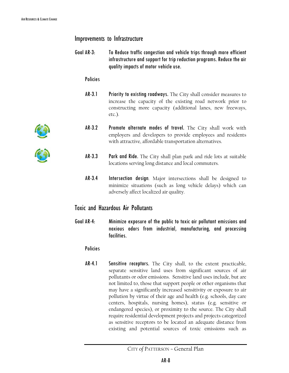## Improvements to Infrastructure

Goal AR-3: To Reduce traffic congestion and vehicle trips through more efficient infrastructure and support for trip reduction programs. Reduce the air quality impacts of motor vehicle use.

#### Policies

- AR-3.1 Priority to existing roadways. The City shall consider measures to increase the capacity of the existing road network prior to constructing more capacity (additional lanes, new freeways, etc.).
- AR-3.2 Promote alternate modes of travel. The City shall work with employers and developers to provide employees and residents with attractive, affordable transportation alternatives.
- AR-3.3 Park and Ride. The City shall plan park and ride lots at suitable locations serving long distance and local commuters.
- AR-3.4 Intersection design. Major intersections shall be designed to minimize situations (such as long vehicle delays) which can adversely affect localized air quality.

## Toxic and Hazardous Air Pollutants

Goal AR-4: Minimize exposure of the public to toxic air pollutant emissions and noxious odors from industrial, manufacturing, and processing facilities.

#### **Policies**

AR-4.1 Sensitive receptors. The City shall, to the extent practicable, separate sensitive land uses from significant sources of air pollutants or odor emissions. Sensitive land uses include, but are not limited to, those that support people or other organisms that may have a significantly increased sensitivity or exposure to air pollution by virtue of their age and health (e.g. schools, day care centers, hospitals, nursing homes), status (e.g. sensitive or endangered species), or proximity to the source. The City shall require residential development projects and projects categorized as sensitive receptors to be located an adequate distance from existing and potential sources of toxic emissions such as



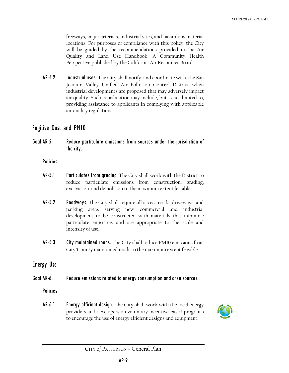freeways, major arterials, industrial sites, and hazardous material locations. For purposes of compliance with this policy, the City will be guided by the recommendations provided in the Air Quality and Land Use Handbook: A Community Health Perspective published by the California Air Resources Board.

AR-4.2 Industrial uses. The City shall notify, and coordinate with, the San Joaquin Valley Unified Air Pollution Control District when industrial developments are proposed that may adversely impact air quality. Such coordination may include, but is not limited to, providing assistance to applicants in complying with applicable air quality regulations.

## Fugitive Dust and PM10

Goal AR-5: Reduce particulate emissions from sources under the jurisdiction of the city.

#### Policies

- AR-5.1 Particulates from grading. The City shall work with the District to reduce particulate emissions from construction, grading, excavation, and demolition to the maximum extent feasible.
- AR-5.2 Roadways. The City shall require all access roads, driveways, and parking areas serving new commercial and industrial development to be constructed with materials that minimize particulate emissions and are appropriate to the scale and intensity of use.
- AR-5.3 City maintained roads. The City shall reduce PM10 emissions from City/County maintained roads to the maximum extent feasible.

## Energy Use

Goal AR-6: Reduce emissions related to energy consumption and area sources.

**Policies** 

AR-6.1 **Energy efficient design.** The City shall work with the local energy providers and developers on voluntary incentive-based programs to encourage the use of energy efficient designs and equipment.

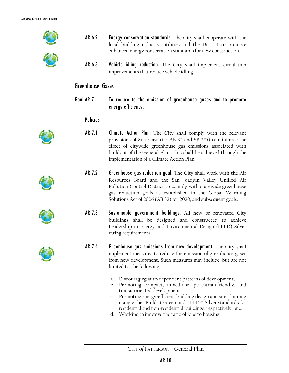

AR-6.2 Energy conservation standards. The City shall cooperate with the local building industry, utilities and the District to promote enhanced energy conservation standards for new construction.

AR-6.3 Vehicle idling reduction. The City shall implement circulation improvements that reduce vehicle idling.

# Greenhouse Gases

Goal AR-7 To reduce to the emission of greenhouse gases and to promote energy efficiency.

## **Policies**

- AR-7.1 Climute Action Plan. The City shall comply with the relevant provisions of State law (i.e. AB 32 and SB 375) to minimize the effect of citywide greenhouse gas emissions associated with buildout of the General Plan. This shall be achieved through the implementation of a Climate Action Plan.
	- AR-7.2 Greenhouse gas reduction goal. The City shall work with the Air Resources Board and the San Joaquin Valley Unified Air Pollution Control District to comply with statewide greenhouse gas reduction goals as established in the Global Warming Solutions Act of 2006 (AB 32) for 2020, and subsequent goals.
- AR-7.3 Sustainable government buildings. All new or renovated City buildings shall be designed and constructed to achieve Leadership in Energy and Environmental Design (LEED) Silver rating requirements.
	- AR-7.4 Greenhouse gas emissions from new development. The City shall implement measures to reduce the emission of greenhouse gases from new development. Such measures may include, but are not limited to, the following:
		- a. Discouraging auto-dependent patterns of development;
		- b. Promoting compact, mixed-use, pedestrian-friendly, and transit oriented development;
		- c. Promoting energy-efficient building design and site planning using either Build It Green and LEED™ Silver standards for residential and non-residential buildings, respectively; and
		- d. Working to improve the ratio of jobs to housing.





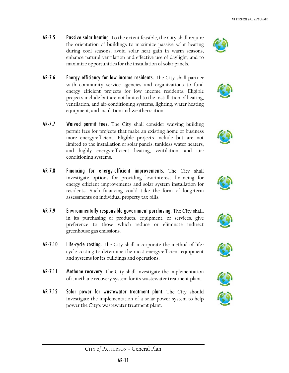AR-7.5 Passive solar heating. To the extent feasible, the City shall require the orientation of buildings to maximize passive solar heating during cool seasons, avoid solar heat gain in warm seasons, enhance natural ventilation and effective use of daylight, and to

maximize opportunities for the installation of solar panels.

- AR-7.6 Energy efficiency for low income residents. The City shall partner with community service agencies and organizations to fund energy efficient projects for low income residents. Eligible projects include but are not limited to the installation of heating, ventilation, and air-conditioning systems, lighting, water heating equipment, and insulation and weatherization.
- AR-7.7 Waived permit fees. The City shall consider waiving building permit fees for projects that make an existing home or business more energy-efficient. Eligible projects include but are not limited to the installation of solar panels, tankless water heaters, and highly energy-efficient heating, ventilation, and airconditioning systems.
- AR-7.8 Financing for energy-efficient improvements. The City shall investigate options for providing low-interest financing for energy efficient improvements and solar system installation for residents. Such financing could take the form of long-term assessments on individual property tax bills.
- AR-7.9 Environmentally responsible government purchasing. The City shall, in its purchasing of products, equipment, or services, give preference to those which reduce or eliminate indirect greenhouse gas emissions.
- AR-7.10 Life-cycle costing. The City shall incorporate the method of lifecycle costing to determine the most energy-efficient equipment and systems for its buildings and operations.
- AR-7.11 Methane recovery. The City shall investigate the implementation of a methane recovery system for its wastewater treatment plant.
- AR-7.12 Solar power for wastewater treatment plant. The City should investigate the implementation of a solar power system to help power the City's wastewater treatment plant.















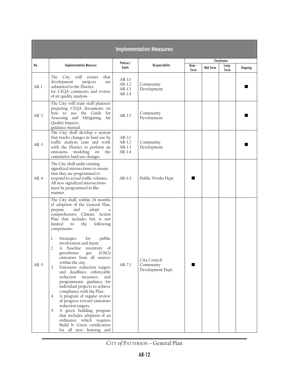| <b>Implementation Measures</b> |                                                                                                                                                                                                                                                                                                                                                                                                                                                                                                                                                                                                                                                                                                                                                                                                                                                                  |                                              |                                                |        |          |                    |                |
|--------------------------------|------------------------------------------------------------------------------------------------------------------------------------------------------------------------------------------------------------------------------------------------------------------------------------------------------------------------------------------------------------------------------------------------------------------------------------------------------------------------------------------------------------------------------------------------------------------------------------------------------------------------------------------------------------------------------------------------------------------------------------------------------------------------------------------------------------------------------------------------------------------|----------------------------------------------|------------------------------------------------|--------|----------|--------------------|----------------|
| No.                            | <b>Implementation Measure</b>                                                                                                                                                                                                                                                                                                                                                                                                                                                                                                                                                                                                                                                                                                                                                                                                                                    | Policies/<br>Goals                           | Responsibility                                 | Near - | Mid-Term | Timeframe<br>Long- | <b>Ongoing</b> |
| $AR-1$                         | The City will ensure<br>that<br>development<br>projects<br>are<br>submitted to the District<br>for CEQA comments and review<br>of air quality analysis.                                                                                                                                                                                                                                                                                                                                                                                                                                                                                                                                                                                                                                                                                                          | $AR-1.1$<br>$AR-1.2$<br>$AR-1.3$<br>$AR-1.4$ | Community<br>Development                       | Term   |          | Term               |                |
| $AR-2$                         | The City will train staff planners<br>preparing CEQA documents on<br>how to use the Guide<br>for<br>Assessing and<br>Mitigating<br>Air<br>Quality Impacts<br>guidance manual.                                                                                                                                                                                                                                                                                                                                                                                                                                                                                                                                                                                                                                                                                    | $AR-1.3$                                     | Community<br>Development                       |        |          |                    |                |
| $AR-3$                         | The City shall develop a system<br>that tracks changes in land use by<br>traffic analysis zone and work<br>with the District to perform air<br>modeling<br>emissions<br>on<br>the<br>cumulative land use changes                                                                                                                                                                                                                                                                                                                                                                                                                                                                                                                                                                                                                                                 | $AR-1.1$<br>$AR-1.2$<br>$AR-1.3$<br>$AR-1.4$ | Community<br>Development                       |        |          |                    |                |
| $AR-4$                         | The City shall audit existing<br>signalized intersections to ensure<br>that they are programmed to<br>respond to actual traffic volumes.<br>All new signalized intersections<br>must be programmed in like<br>manner.                                                                                                                                                                                                                                                                                                                                                                                                                                                                                                                                                                                                                                            | $AR-6.3$                                     | Public Works Dept.                             |        |          |                    |                |
| $AR-5$                         | The City shall, within 24 months<br>of adoption of the General Plan,<br>and<br>prepare<br>adopt<br>comprehensive Climate Action<br>Plan that includes but is not<br>limited<br>the<br>following<br>to<br>components:<br>for<br>public<br>1.<br>Strategies<br>involvement and input;<br>A baseline inventory of<br>$\overline{2}$ .<br>greenhouse gas (GhG)<br>emissions from all sources<br>within the city;<br>Emissions reduction targets<br>3.<br>and deadlines, enforceable<br>reduction<br>measures.<br>and<br>programmatic guidance for<br>individual projects to achieve<br>compliance with the Plan;<br>A program of regular review<br>4.<br>of progress toward emissions<br>reduction targets;<br>A green building program<br>5.<br>that includes adoption of an<br>ordinance which requires<br>Build It Green certification<br>for all new housing and | $AR-7.1$                                     | City Council<br>Community<br>Development Dept. |        |          |                    |                |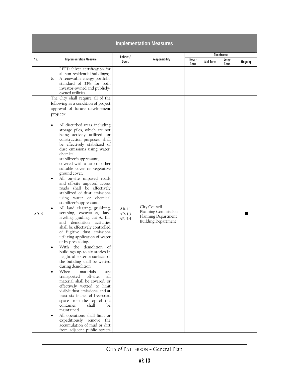| <b>Implementation Measures</b> |                                                                                                                                                                                                                                                                                                                                                                                                                                                                                                                                                                                                                                                                                                                                                                                                                                                                                                                                                                                                                                                                                                                                                                                                                                                                                                                                                                                 |                                  |                                                                                          |        |          |                    |         |  |
|--------------------------------|---------------------------------------------------------------------------------------------------------------------------------------------------------------------------------------------------------------------------------------------------------------------------------------------------------------------------------------------------------------------------------------------------------------------------------------------------------------------------------------------------------------------------------------------------------------------------------------------------------------------------------------------------------------------------------------------------------------------------------------------------------------------------------------------------------------------------------------------------------------------------------------------------------------------------------------------------------------------------------------------------------------------------------------------------------------------------------------------------------------------------------------------------------------------------------------------------------------------------------------------------------------------------------------------------------------------------------------------------------------------------------|----------------------------------|------------------------------------------------------------------------------------------|--------|----------|--------------------|---------|--|
| No.                            | <b>Implementation Measure</b>                                                                                                                                                                                                                                                                                                                                                                                                                                                                                                                                                                                                                                                                                                                                                                                                                                                                                                                                                                                                                                                                                                                                                                                                                                                                                                                                                   | Policies/<br>Goals               | Responsibility                                                                           | Near - | Mid-Term | Timeframe<br>Long- | Ongoing |  |
|                                | LEED Silver certification for<br>all non-residential buildings;<br>A renewable energy portfolio<br>6.<br>standard of 33% for both<br>investor-owned and publicly-<br>owned utilities.<br>The City shall require all of the<br>following as a condition of project<br>approval of future development<br>projects:                                                                                                                                                                                                                                                                                                                                                                                                                                                                                                                                                                                                                                                                                                                                                                                                                                                                                                                                                                                                                                                                |                                  |                                                                                          | Term   |          | Term               |         |  |
| $AR-6$                         | All disturbed areas, including<br>$\bullet$<br>storage piles, which are not<br>being actively utilized for<br>construction purposes, shall<br>be effectively stabilized of<br>dust emissions using water,<br>chemical<br>stabilizer/suppressant,<br>covered with a tarp or other<br>suitable cover or vegetative<br>ground cover.<br>All on-site unpaved roads<br>$\bullet$<br>and off-site unpaved access<br>roads shall be effectively<br>stabilized of dust emissions<br>using water or chemical<br>stabilizer/suppressant.<br>All land clearing, grubbing,<br>$\bullet$<br>scraping, excavation, land<br>leveling, grading, cut & fill,<br>and demolition activities<br>shall be effectively controlled<br>of fugitive dust emissions<br>utilizing application of water<br>or by presoaking.<br>With the demolition<br>0t<br>buildings up to six stories in<br>height, all exterior surfaces of<br>the building shall be wetted<br>during demolition.<br>When<br>materials<br>are<br>$\bullet$<br>transported<br>off-site,<br>all<br>material shall be covered, or<br>effectively wetted to limit<br>visible dust emissions, and at<br>least six inches of freeboard<br>space from the top of the<br>container<br>shall<br>be<br>maintained.<br>All operations shall limit or<br>expeditiously remove<br>the<br>accumulation of mud or dirt<br>from adjacent public streets | $AR-1.1$<br>$AR-1.3$<br>$AR-1.4$ | City Council<br>Planning Commission<br>Planning Department<br><b>Building Department</b> |        |          |                    |         |  |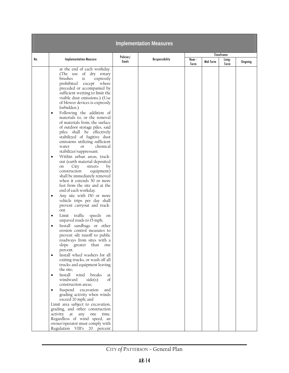| <b>Implementation Measures</b> |                |                |          |               |                |  |  |  |
|--------------------------------|----------------|----------------|----------|---------------|----------------|--|--|--|
|                                |                | Timeframe      |          |               |                |  |  |  |
| Goals                          | Responsibility | Near -<br>Term | Mid-Term | Long-<br>Term | <b>Ongoing</b> |  |  |  |
|                                |                |                |          |               |                |  |  |  |
|                                | Policies/      |                |          |               |                |  |  |  |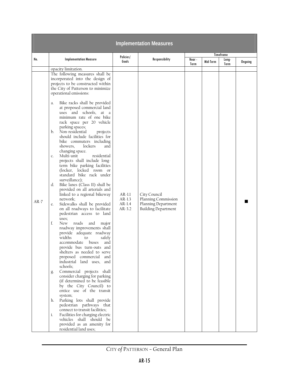| <b>Implementation Measures</b> |                                                                                                                                                                                                                                                                                                                                                                                                                                                                                                                                                                                                                                                                                                                                                                                                                                                                                                                                                                                                                                                                                                                                                                                                                                                                                                                                                                                                                                                                                                                                                                                                                                                     |                                              |                                                                                          |                |          |               |                |  |
|--------------------------------|-----------------------------------------------------------------------------------------------------------------------------------------------------------------------------------------------------------------------------------------------------------------------------------------------------------------------------------------------------------------------------------------------------------------------------------------------------------------------------------------------------------------------------------------------------------------------------------------------------------------------------------------------------------------------------------------------------------------------------------------------------------------------------------------------------------------------------------------------------------------------------------------------------------------------------------------------------------------------------------------------------------------------------------------------------------------------------------------------------------------------------------------------------------------------------------------------------------------------------------------------------------------------------------------------------------------------------------------------------------------------------------------------------------------------------------------------------------------------------------------------------------------------------------------------------------------------------------------------------------------------------------------------------|----------------------------------------------|------------------------------------------------------------------------------------------|----------------|----------|---------------|----------------|--|
|                                |                                                                                                                                                                                                                                                                                                                                                                                                                                                                                                                                                                                                                                                                                                                                                                                                                                                                                                                                                                                                                                                                                                                                                                                                                                                                                                                                                                                                                                                                                                                                                                                                                                                     | Policies/                                    |                                                                                          | Timeframe      |          |               |                |  |
| No.                            | <b>Implementation Measure</b>                                                                                                                                                                                                                                                                                                                                                                                                                                                                                                                                                                                                                                                                                                                                                                                                                                                                                                                                                                                                                                                                                                                                                                                                                                                                                                                                                                                                                                                                                                                                                                                                                       | Goals                                        | Responsibility                                                                           | Near -<br>Term | Mid-Term | Long-<br>Term | <b>Ongoing</b> |  |
| $AR-7$                         | opacity limitation.<br>The following measures shall be<br>incorporated into the design of<br>projects to be constructed within<br>the City of Patterson to minimize<br>operational emissions:<br>Bike racks shall be provided<br>a.<br>at proposed commercial land<br>uses and schools, at a<br>minimum rate of one bike<br>rack space per 20 vehicle<br>parking spaces;<br>Non-residential<br>b.<br>projects<br>should include facilities for<br>bike commuters including<br>showers,<br>lockers<br>and<br>changing space.<br>Multi-unit<br>residential<br>c.<br>projects shall include long-<br>term bike parking facilities<br>(locker, locked room or<br>standard bike rack under<br>surveillance);<br>Bike lanes (Class II) shall be<br>d.<br>provided on all arterials and<br>linked to a regional bikeway<br>network;<br>Sidewalks shall be provided<br>e.<br>on all roadways to facilitate<br>pedestrian access to land<br>uses;<br>f.<br>roads<br><b>New</b><br>and<br>major<br>roadway improvements shall<br>provide adequate roadway<br>widths<br>safely<br>to<br>accommodate<br>buses<br>and<br>provide bus turn-outs and<br>shelters as needed to serve<br>proposed commercial<br>and<br>industrial land uses, and<br>schools;<br>Commercial projects shall<br>g.<br>consider charging for parking<br>(if determined to be feasible<br>by the City Council) to<br>entice use of the transit<br>system;<br>Parking lots shall provide<br>h.<br>pedestrian pathways that<br>connect to transit facilities;<br>Facilities for charging electric<br>i.<br>vehicles shall should be<br>provided as an amenity for<br>residential land uses; | $AR-1.1$<br>$AR-1.3$<br>$AR-1.4$<br>$AR-3.2$ | City Council<br>Planning Commission<br>Planning Department<br><b>Building Department</b> |                |          |               |                |  |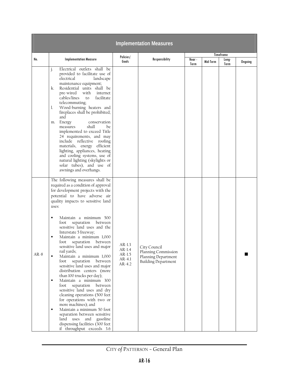| <b>Implementation Measures</b> |                                                                                                                                                                                                                                                                                                                                                                                                                                                                                                                                                                                                                                                                                                                                                                                                                                                                                                                                                                                      |                                                          |                                                                                          |        |          |                    |         |
|--------------------------------|--------------------------------------------------------------------------------------------------------------------------------------------------------------------------------------------------------------------------------------------------------------------------------------------------------------------------------------------------------------------------------------------------------------------------------------------------------------------------------------------------------------------------------------------------------------------------------------------------------------------------------------------------------------------------------------------------------------------------------------------------------------------------------------------------------------------------------------------------------------------------------------------------------------------------------------------------------------------------------------|----------------------------------------------------------|------------------------------------------------------------------------------------------|--------|----------|--------------------|---------|
| No.                            | <b>Implementation Measure</b>                                                                                                                                                                                                                                                                                                                                                                                                                                                                                                                                                                                                                                                                                                                                                                                                                                                                                                                                                        | Policies/<br>Goals                                       | Responsibility                                                                           | Near - | Mid-Term | Timeframe<br>Long- | Ongoing |
|                                | Electrical outlets shall be<br>j.<br>provided to facilitate use of<br>electrical<br>landscape<br>maintenance equipment;<br>Residential units shall be<br>k.<br>pre-wired<br>with<br>internet<br>cables/lines<br>facilitate<br>to<br>telecommuting;<br>Wood-burning heaters and<br>1.<br>fireplaces shall be prohibited;<br>and<br>Energy<br>conservation<br>m.<br>shall<br>be<br>measures<br>implemented to exceed Title<br>24 requirements, and may<br>include reflective roofing<br>materials, energy efficient<br>lighting, appliances, heating<br>and cooling systems, use of<br>natural lighting (skylights or<br>solar tubes), and use of<br>awnings and overhangs.                                                                                                                                                                                                                                                                                                            |                                                          |                                                                                          | Term   |          | Term               |         |
| $AR-8$                         | The following measures shall be<br>required as a condition of approval<br>for development projects with the<br>potential to have adverse air<br>quality impacts to sensitive land<br>uses:<br>Maintain a minimum 500<br>п<br>foot<br>separation<br>between<br>sensitive land uses and the<br>Interstate 5 freeway;<br>Maintain a minimum 1,000<br>п<br>foot<br>separation<br>between<br>sensitive land uses and major<br>rail yards;<br>$\blacksquare$<br>Maintain a minimum 1,000<br>separation<br>foot<br>between<br>sensitive land uses and major<br>distribution centers (more<br>than 100 trucks per day);<br>Maintain a minimum 300<br>٠<br>separation<br>foot<br>between<br>sensitive land uses and dry<br>cleaning operations (500 feet<br>for operations with two or<br>more machines); and<br>Maintain a minimum 50 foot<br>$\blacksquare$<br>separation between sensitive<br>land uses<br>and<br>gasoline<br>dispensing facilities (300 feet<br>if throughput exceeds 3.6 | $AR-1.3$<br>$AR-1.4$<br>$AR-1.5$<br>$AR-4.1$<br>$AR-4.2$ | City Council<br>Planning Commission<br>Planning Department<br><b>Building Department</b> |        |          |                    |         |